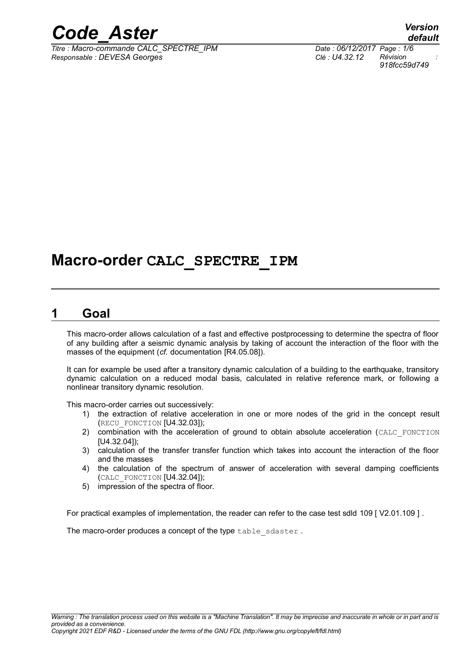

*Titre : Macro-commande CALC\_SPECTRE\_IPM Date : 06/12/2017 Page : 1/6 Responsable : DEVESA Georges Clé : U4.32.12 Révision :*

*default 918fcc59d749*

# **Macro-order CALC\_SPECTRE\_IPM**

# **1 Goal**

This macro-order allows calculation of a fast and effective postprocessing to determine the spectra of floor of any building after a seismic dynamic analysis by taking of account the interaction of the floor with the masses of the equipment (*cf.* documentation [R4.05.08]).

It can for example be used after a transitory dynamic calculation of a building to the earthquake, transitory dynamic calculation on a reduced modal basis, calculated in relative reference mark, or following a nonlinear transitory dynamic resolution.

This macro-order carries out successively:

- 1) the extraction of relative acceleration in one or more nodes of the grid in the concept result (RECU\_FONCTION [U4.32.03]);
- 2) combination with the acceleration of ground to obtain absolute acceleration (CALC\_FONCTION [U4.32.04]);
- 3) calculation of the transfer transfer function which takes into account the interaction of the floor and the masses
- 4) the calculation of the spectrum of answer of acceleration with several damping coefficients (CALC\_FONCTION [U4.32.04]);
- 5) impression of the spectra of floor.

For practical examples of implementation, the reader can refer to the case test sdld 109 [ V2.01.109 ] .

The macro-order produces a concept of the type table sdaster.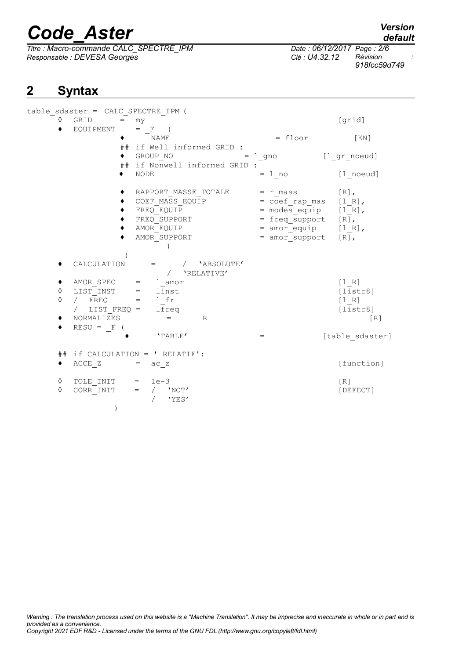*Titre : Macro-commande CALC\_SPECTRE\_IPM Date : 06/12/2017 Page : 2/6 Responsable : DEVESA Georges Clé : U4.32.12 Révision :*

# *918fcc59d749*

# **2 Syntax**

|             | table sdaster = CALC_SPECTRE_IPM (                                                                                 |                                                                                                     |                                                                                                                                                                  |                                              |
|-------------|--------------------------------------------------------------------------------------------------------------------|-----------------------------------------------------------------------------------------------------|------------------------------------------------------------------------------------------------------------------------------------------------------------------|----------------------------------------------|
| ♦           | GRID<br>$=$                                                                                                        | my                                                                                                  |                                                                                                                                                                  | [grid]                                       |
|             | EQUIPMENT                                                                                                          | $=$ F (<br>NAME<br>## if Well informed GRID :                                                       | $=$ floor                                                                                                                                                        | $\lceil KN \rceil$                           |
|             | $\bullet$                                                                                                          | GROUP NO<br>## if Nonwell informed GRID :                                                           | $= 1$ gno $[1$ gr noeud]                                                                                                                                         |                                              |
|             |                                                                                                                    | <b>NODE</b>                                                                                         | $= 1$ no                                                                                                                                                         | [1 noeud]                                    |
|             |                                                                                                                    | RAPPORT MASSE TOTALE<br>COEF MASS EQUIP<br>FREQ EQUIP<br>FREQ SUPPORT<br>AMOR EQUIP<br>AMOR SUPPORT | $= r$ mass<br>$=$ $\text{coeff}_\text{rap}$ mas $[1_R]$ ,<br>$=$ modes_equip $[1_R]$ ,<br>$=$ freq support $[R]$ ,<br>$=$ amor equip $[1 R]$ ,<br>= amor_support | $[R]$ ,<br>$[R]$ ,                           |
|             | CALCULATION                                                                                                        | $=$ / $'$ ABSOLUTE'<br>/ 'RELATIVE'                                                                 |                                                                                                                                                                  |                                              |
| ◆<br>♦<br>♦ | AMOR_SPEC = $l$ _amor<br>LIST_INST = $l$ inst<br>/ FREQ = = $l$ _fr<br>/ FREQ = = $l$ = $l$<br>/ LIST FREQ = lfreq |                                                                                                     |                                                                                                                                                                  | [1 R]<br>[liststr8]<br>$[1 R]$<br>[liststr8] |
| ٠           | NORMALIZES<br>$RESU = F$ (                                                                                         | R                                                                                                   |                                                                                                                                                                  | [R]                                          |
|             |                                                                                                                    | 'TABLE'                                                                                             | $=$                                                                                                                                                              | [table sdaster]                              |
| ٠           | ACCE Z                                                                                                             | $\#$ if CALCULATION = ' RELATIF':<br>$=$ ac $z$                                                     |                                                                                                                                                                  | [function]                                   |
| ♦<br>♦      | TOLE INIT $= 1e-3$<br>CORR INIT<br>$\lambda$                                                                       | $=$<br>$\sqrt{2}$<br>'NOT'<br>'YES'                                                                 |                                                                                                                                                                  | $\lceil R \rceil$<br>[DEFECT]                |

*default*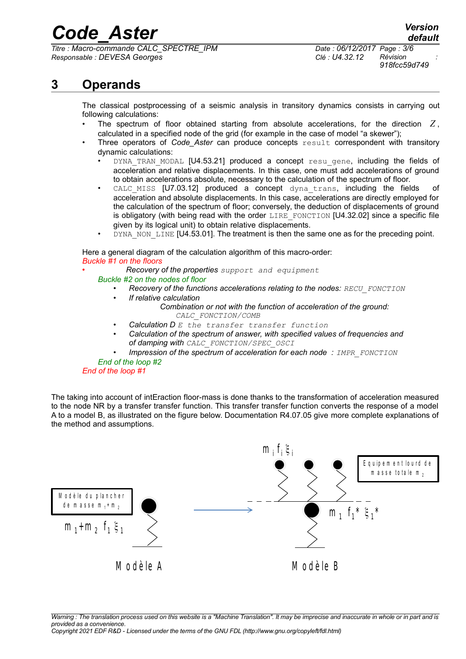*Titre : Macro-commande CALC\_SPECTRE\_IPM Date : 06/12/2017 Page : 3/6 Responsable : DEVESA Georges Clé : U4.32.12 Révision :*

*918fcc59d749*

# **3 Operands**

The classical postprocessing of a seismic analysis in transitory dynamics consists in carrying out following calculations:

- The spectrum of floor obtained starting from absolute accelerations, for the direction *Z* , calculated in a specified node of the grid (for example in the case of model "a skewer");
- Three operators of *Code Aster* can produce concepts result correspondent with transitory dynamic calculations:
	- DYNA TRAN MODAL [U4.53.21] produced a concept resu gene, including the fields of acceleration and relative displacements. In this case, one must add accelerations of ground to obtain accelerations absolute, necessary to the calculation of the spectrum of floor.
	- CALC MISS  $[U7.03.12]$  produced a concept dyna trans, including the fields of acceleration and absolute displacements. In this case, accelerations are directly employed for the calculation of the spectrum of floor; conversely, the deduction of displacements of ground is obligatory (with being read with the order LIRE FONCTION  $[U4.32.02]$  since a specific file given by its logical unit) to obtain relative displacements.
	- DYNA\_NON\_LINE [U4.53.01]. The treatment is then the same one as for the preceding point.

Here a general diagram of the calculation algorithm of this macro-order: *Buckle #1 on the floors*

• *Recovery of the properties support and equipment*

- *Buckle #2 on the nodes of floor*
	- *• Recovery of the functions accelerations relating to the nodes: RECU\_FONCTION*
	- *• If relative calculation*

*Combination or not with the function of acceleration of the ground: CALC\_FONCTION/COMB*

- *• Calculation D E the transfer transfer function*
- *• Calculation of the spectrum of answer, with specified values of frequencies and of damping with CALC\_FONCTION/SPEC\_OSCI*
- *• Impression of the spectrum of acceleration for each node : IMPR\_FONCTION*

#### *End of the loop #2 End of the loop #1*

The taking into account of intEraction floor-mass is done thanks to the transformation of acceleration measured to the node NR by a transfer transfer function. This transfer transfer function converts the response of a model A to a model B, as illustrated on the figure below. Documentation R4.07.05 give more complete explanations of the method and assumptions.

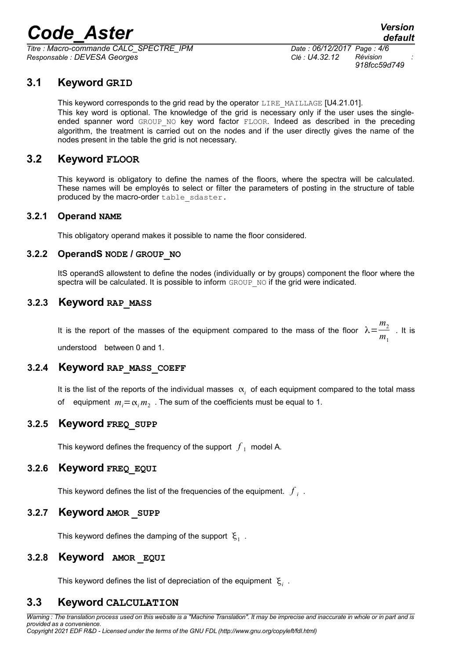$\overline{T}$ itre : Macro-commande CALC\_SPECTRE\_IPM *Responsable : DEVESA Georges Clé : U4.32.12 Révision :*

*918fcc59d749*

# **3.1 Keyword GRID**

This keyword corresponds to the grid read by the operator  $LIRE$  MAILLAGE [U4.21.01]. This key word is optional. The knowledge of the grid is necessary only if the user uses the singleended spanner word GROUP NO key word factor FLOOR. Indeed as described in the preceding algorithm, the treatment is carried out on the nodes and if the user directly gives the name of the nodes present in the table the grid is not necessary.

#### **3.2 Keyword FLOOR**

This keyword is obligatory to define the names of the floors, where the spectra will be calculated. These names will be employés to select or filter the parameters of posting in the structure of table produced by the macro-order table sdaster.

#### **3.2.1 Operand NAME**

This obligatory operand makes it possible to name the floor considered.

#### **3.2.2 OperandS NODE / GROUP\_NO**

ItS operandS allowstent to define the nodes (individually or by groups) component the floor where the spectra will be calculated. It is possible to inform GROUP\_NO if the grid were indicated.

#### **3.2.3 Keyword RAP\_MASS**

It is the report of the masses of the equipment compared to the mass of the floor  $\lambda = \frac{m_2}{m_1}$  $\frac{2}{m_1}$  . It is understood between 0 and 1.

# **3.2.4 Keyword RAP\_MASS\_COEFF**

It is the list of the reports of the individual masses  $\alpha_i$  of each equipment compared to the total mass of equipment  $m_i = \alpha_i m_2$  . The sum of the coefficients must be equal to 1.

#### **3.2.5 Keyword FREQ\_SUPP**

This keyword defines the frequency of the support  $\,\overline{f}_1\,$  model A.

#### **3.2.6 Keyword FREQ\_EQUI**

This keyword defines the list of the frequencies of the equipment.  $\left| f \right|_i$  .

#### **3.2.7 Keyword AMOR \_SUPP**

This keyword defines the damping of the support  $\vert \xi_1 \vert$  .

#### **3.2.8 Keyword AMOR \_EQUI**

This keyword defines the list of depreciation of the equipment  $\mathcal{E}_i$  .

# **3.3 Keyword CALCULATION**

*Warning : The translation process used on this website is a "Machine Translation". It may be imprecise and inaccurate in whole or in part and is provided as a convenience. Copyright 2021 EDF R&D - Licensed under the terms of the GNU FDL (http://www.gnu.org/copyleft/fdl.html)*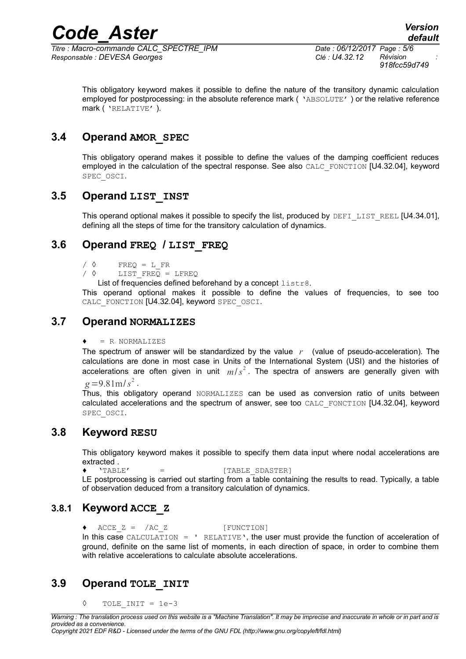*Titre : Macro-commande CALC\_SPECTRE\_IPM Date : 06/12/2017 Page : 5/6 Responsable : DEVESA Georges Clé : U4.32.12 Révision :*

*918fcc59d749*

This obligatory keyword makes it possible to define the nature of the transitory dynamic calculation employed for postprocessing: in the absolute reference mark ( 'ABSOLUTE' ) or the relative reference mark ( 'RELATIVE' ).

# **3.4 Operand AMOR\_SPEC**

This obligatory operand makes it possible to define the values of the damping coefficient reduces employed in the calculation of the spectral response. See also CALC\_FONCTION [U4.32.04], keyword SPEC\_OSCI.

# **3.5 Operand LIST\_INST**

This operand optional makes it possible to specify the list, produced by DEFI\_LIST\_REEL [U4.34.01], defining all the steps of time for the transitory calculation of dynamics.

# **3.6 Operand FREQ / LIST\_FREQ**

 $\angle$   $\Diamond$  FREQ = L FR

/  $\Diamond$  LIST FREQ = LFREQ

List of frequencies defined beforehand by a concept listr8.

This operand optional makes it possible to define the values of frequencies, to see too CALC\_FONCTION [U4.32.04], keyword SPEC\_OSCI.

# **3.7 Operand NORMALIZES**

#### $= R$  NORMALIZES

The spectrum of answer will be standardized by the value *r* (value of pseudo-acceleration). The calculations are done in most case in Units of the International System (USI) and the histories of accelerations are often given in unit  $m/s^2$ . The spectra of answers are generally given with  $g = 9.81 \text{ m/s}^2$ .

Thus, this obligatory operand NORMALIZES can be used as conversion ratio of units between calculated accelerations and the spectrum of answer, see too CALC\_FONCTION [U4.32.04], keyword SPEC\_OSCI.

# **3.8 Keyword RESU**

This obligatory keyword makes it possible to specify them data input where nodal accelerations are extracted .

♦ 'TABLE' = [TABLE\_SDASTER]

LE postprocessing is carried out starting from a table containing the results to read. Typically, a table of observation deduced from a transitory calculation of dynamics.

# **3.8.1 Keyword ACCE\_Z**

♦ ACCE\_Z = /AC\_Z [FUNCTION]

In this case CALCULATION =  $'$  RELATIVE', the user must provide the function of acceleration of ground, definite on the same list of moments, in each direction of space, in order to combine them with relative accelerations to calculate absolute accelerations.

# **3.9 Operand TOLE\_INIT**

◊ TOLE\_INIT = 1e-3